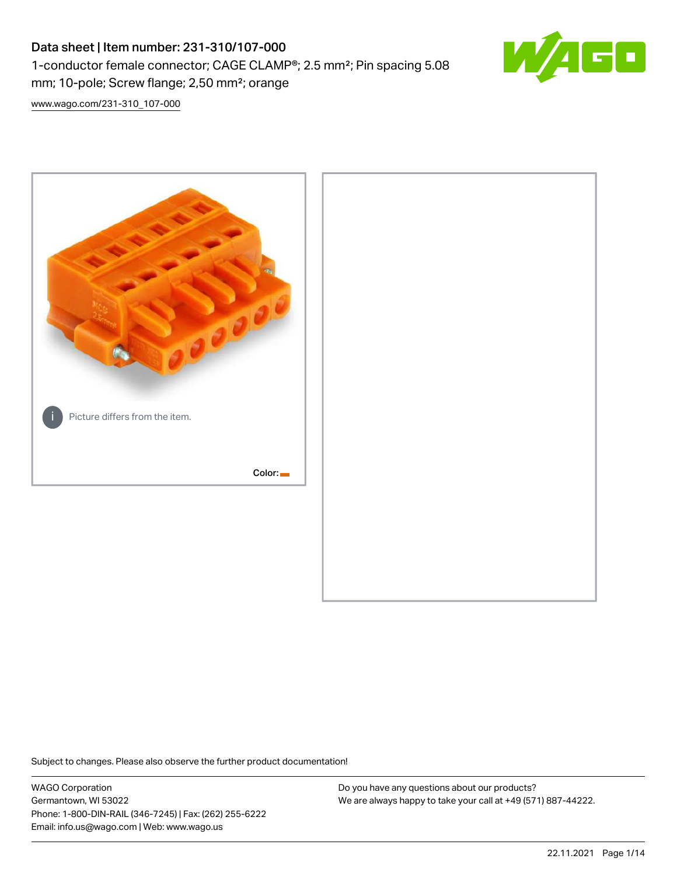# Data sheet | Item number: 231-310/107-000 1-conductor female connector; CAGE CLAMP®; 2.5 mm²; Pin spacing 5.08 mm; 10-pole; Screw flange; 2,50 mm²; orange



[www.wago.com/231-310\\_107-000](http://www.wago.com/231-310_107-000)



Subject to changes. Please also observe the further product documentation!

WAGO Corporation Germantown, WI 53022 Phone: 1-800-DIN-RAIL (346-7245) | Fax: (262) 255-6222 Email: info.us@wago.com | Web: www.wago.us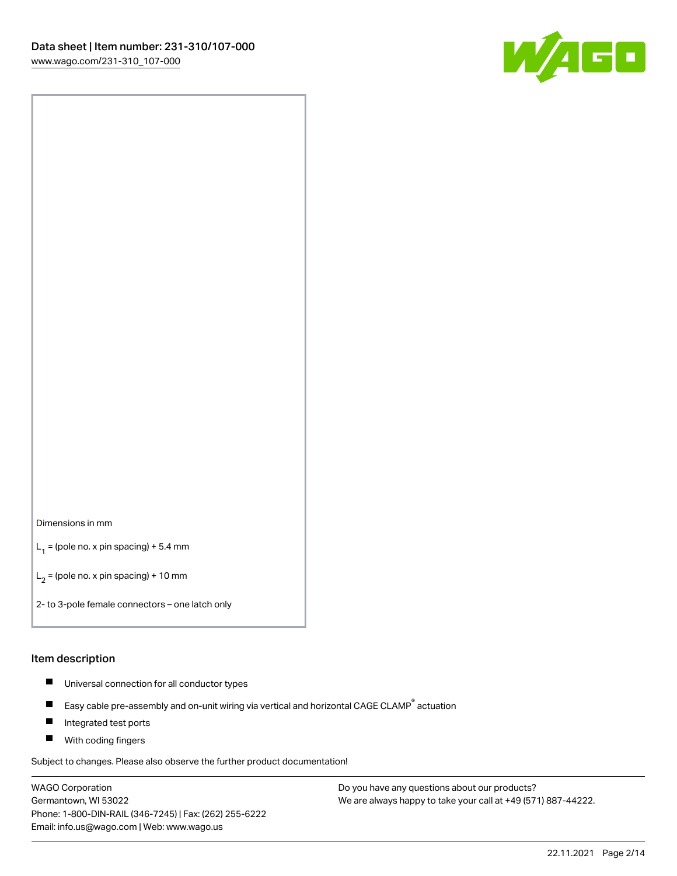

#### Dimensions in mm

 $L_1$  = (pole no. x pin spacing) + 5.4 mm

 $L_2$  = (pole no. x pin spacing) + 10 mm

2- to 3-pole female connectors – one latch only

#### Item description

- $\blacksquare$ Universal connection for all conductor types
- Easy cable pre-assembly and on-unit wiring via vertical and horizontal CAGE CLAMP<sup>®</sup> actuation  $\blacksquare$
- П Integrated test ports
- $\blacksquare$ With coding fingers

Subject to changes. Please also observe the further product documentation!

WAGO Corporation Germantown, WI 53022 Phone: 1-800-DIN-RAIL (346-7245) | Fax: (262) 255-6222 Email: info.us@wago.com | Web: www.wago.us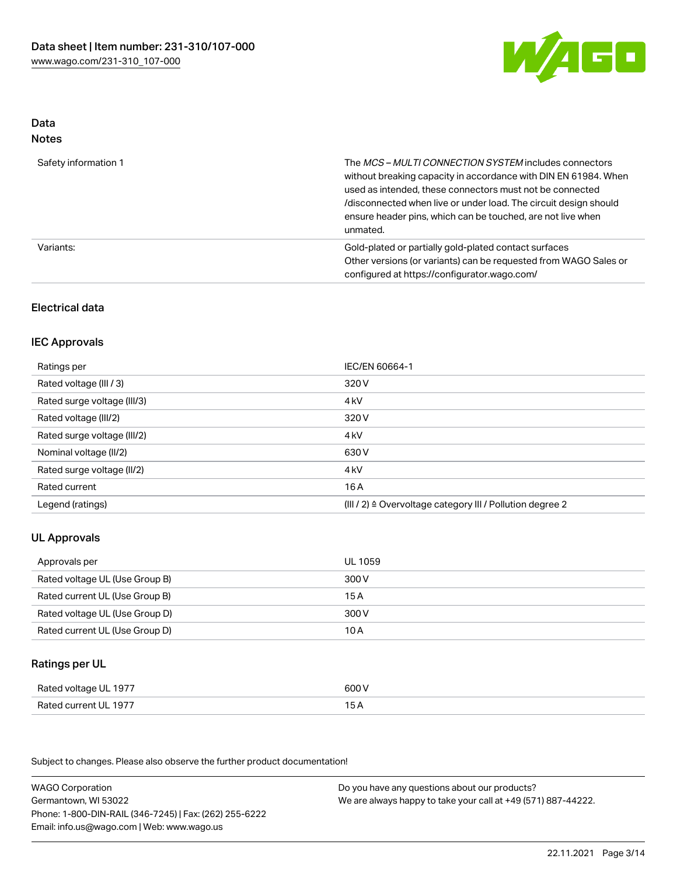

# Data

| M.<br>×<br>×<br>۹<br>٠<br>۰, |
|------------------------------|
|------------------------------|

| Safety information 1 | The MCS-MULTI CONNECTION SYSTEM includes connectors<br>without breaking capacity in accordance with DIN EN 61984. When<br>used as intended, these connectors must not be connected<br>/disconnected when live or under load. The circuit design should<br>ensure header pins, which can be touched, are not live when<br>unmated. |
|----------------------|-----------------------------------------------------------------------------------------------------------------------------------------------------------------------------------------------------------------------------------------------------------------------------------------------------------------------------------|
| Variants:            | Gold-plated or partially gold-plated contact surfaces<br>Other versions (or variants) can be requested from WAGO Sales or<br>configured at https://configurator.wago.com/                                                                                                                                                         |

# Electrical data

## IEC Approvals

| Ratings per                 | IEC/EN 60664-1                                                       |
|-----------------------------|----------------------------------------------------------------------|
| Rated voltage (III / 3)     | 320 V                                                                |
| Rated surge voltage (III/3) | 4 <sub>k</sub> V                                                     |
| Rated voltage (III/2)       | 320 V                                                                |
| Rated surge voltage (III/2) | 4 <sub>k</sub> V                                                     |
| Nominal voltage (II/2)      | 630 V                                                                |
| Rated surge voltage (II/2)  | 4 <sub>k</sub> V                                                     |
| Rated current               | 16A                                                                  |
| Legend (ratings)            | (III / 2) $\triangleq$ Overvoltage category III / Pollution degree 2 |

## UL Approvals

| Approvals per                  | UL 1059 |
|--------------------------------|---------|
| Rated voltage UL (Use Group B) | 300 V   |
| Rated current UL (Use Group B) | 15A     |
| Rated voltage UL (Use Group D) | 300 V   |
| Rated current UL (Use Group D) | 10 A    |

# Ratings per UL

| Rated voltage UL 1977 | 600 V |
|-----------------------|-------|
| Rated current UL 1977 | 15 A  |

| <b>WAGO Corporation</b>                                | Do you have any questions about our products?                 |
|--------------------------------------------------------|---------------------------------------------------------------|
| Germantown, WI 53022                                   | We are always happy to take your call at +49 (571) 887-44222. |
| Phone: 1-800-DIN-RAIL (346-7245)   Fax: (262) 255-6222 |                                                               |
| Email: info.us@wago.com   Web: www.wago.us             |                                                               |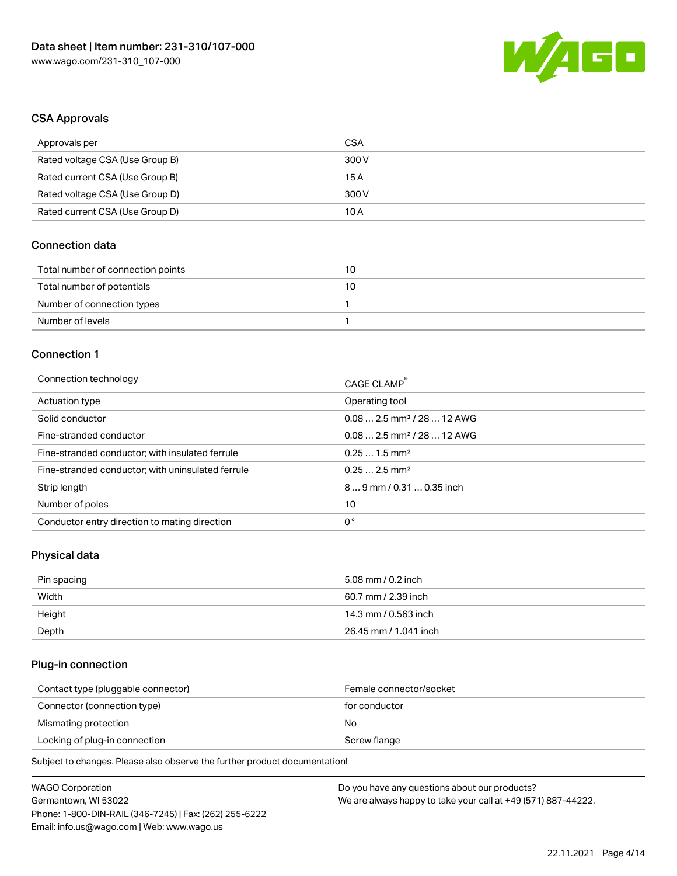

## CSA Approvals

| Approvals per                   | CSA   |
|---------------------------------|-------|
| Rated voltage CSA (Use Group B) | 300 V |
| Rated current CSA (Use Group B) | 15 A  |
| Rated voltage CSA (Use Group D) | 300 V |
| Rated current CSA (Use Group D) | 10 A  |

# Connection data

| Total number of connection points | 10 |
|-----------------------------------|----|
| Total number of potentials        | 10 |
| Number of connection types        |    |
| Number of levels                  |    |

# Connection 1

| Connection technology                             | CAGE CLAMP <sup>®</sup>                |
|---------------------------------------------------|----------------------------------------|
| Actuation type                                    | Operating tool                         |
| Solid conductor                                   | $0.082.5$ mm <sup>2</sup> / 28  12 AWG |
| Fine-stranded conductor                           | $0.082.5$ mm <sup>2</sup> / 28  12 AWG |
| Fine-stranded conductor; with insulated ferrule   | $0.251.5$ mm <sup>2</sup>              |
| Fine-stranded conductor; with uninsulated ferrule | $0.252.5$ mm <sup>2</sup>              |
| Strip length                                      | $89$ mm / 0.31  0.35 inch              |
| Number of poles                                   | 10                                     |
| Conductor entry direction to mating direction     | 0°                                     |

# Physical data

| Pin spacing | 5.08 mm / 0.2 inch    |
|-------------|-----------------------|
| Width       | 60.7 mm / 2.39 inch   |
| Height      | 14.3 mm / 0.563 inch  |
| Depth       | 26.45 mm / 1.041 inch |

# Plug-in connection

| Contact type (pluggable connector) | Female connector/socket |
|------------------------------------|-------------------------|
| Connector (connection type)        | for conductor           |
| Mismating protection               | No                      |
| Locking of plug-in connection      | Screw flange            |
|                                    |                         |

| <b>WAGO Corporation</b>                                | Do you have any questions about our products?                 |
|--------------------------------------------------------|---------------------------------------------------------------|
|                                                        |                                                               |
| Germantown, WI 53022                                   | We are always happy to take your call at +49 (571) 887-44222. |
| Phone: 1-800-DIN-RAIL (346-7245)   Fax: (262) 255-6222 |                                                               |
| Email: info.us@wago.com   Web: www.wago.us             |                                                               |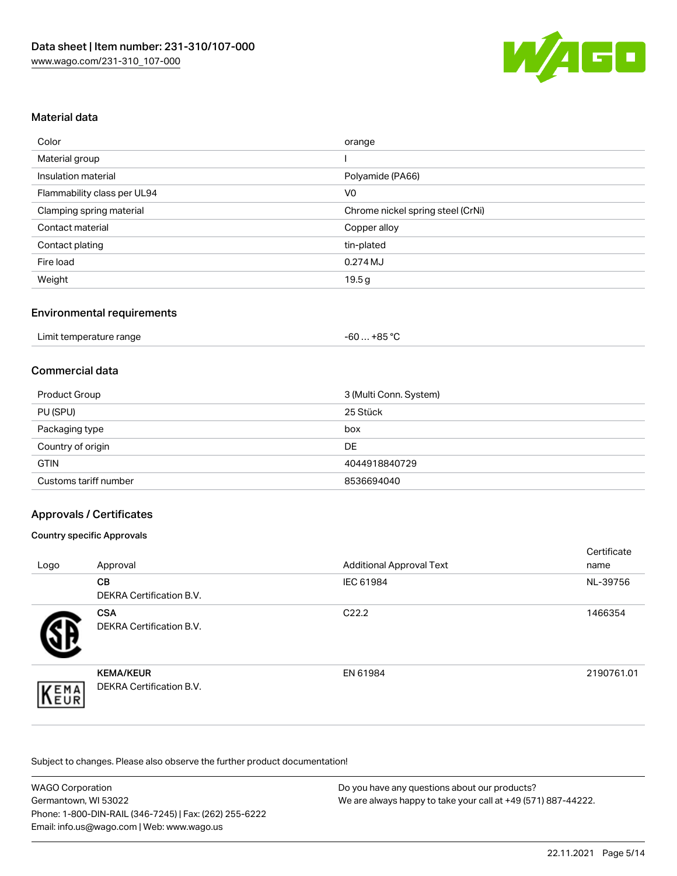

## Material data

| Color                       | orange                            |
|-----------------------------|-----------------------------------|
| Material group              |                                   |
| Insulation material         | Polyamide (PA66)                  |
| Flammability class per UL94 | V <sub>0</sub>                    |
| Clamping spring material    | Chrome nickel spring steel (CrNi) |
| Contact material            | Copper alloy                      |
| Contact plating             | tin-plated                        |
| Fire load                   | 0.274MJ                           |
| Weight                      | 19.5g                             |

## Environmental requirements

## Commercial data

| Product Group         | 3 (Multi Conn. System) |
|-----------------------|------------------------|
| PU (SPU)              | 25 Stück               |
| Packaging type        | box                    |
| Country of origin     | DE                     |
| <b>GTIN</b>           | 4044918840729          |
| Customs tariff number | 8536694040             |

## Approvals / Certificates

#### Country specific Approvals

| Logo | Approval                                            | <b>Additional Approval Text</b> | Certificate<br>name |
|------|-----------------------------------------------------|---------------------------------|---------------------|
|      | CВ<br><b>DEKRA Certification B.V.</b>               | IEC 61984                       | NL-39756            |
|      | <b>CSA</b><br>DEKRA Certification B.V.              | C <sub>22.2</sub>               | 1466354             |
| EMA  | <b>KEMA/KEUR</b><br><b>DEKRA Certification B.V.</b> | EN 61984                        | 2190761.01          |

| <b>WAGO Corporation</b>                                | Do you have any questions about our products?                 |
|--------------------------------------------------------|---------------------------------------------------------------|
| Germantown, WI 53022                                   | We are always happy to take your call at +49 (571) 887-44222. |
| Phone: 1-800-DIN-RAIL (346-7245)   Fax: (262) 255-6222 |                                                               |
| Email: info.us@wago.com   Web: www.wago.us             |                                                               |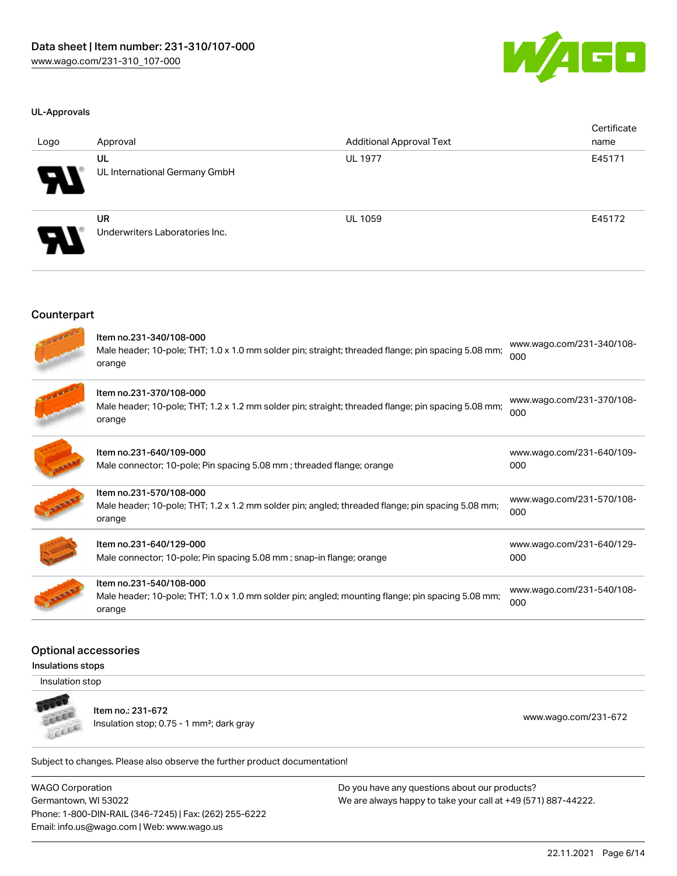

#### UL-Approvals

| Logo                       | Approval                                    | <b>Additional Approval Text</b> | Certificate<br>name |
|----------------------------|---------------------------------------------|---------------------------------|---------------------|
| $\boldsymbol{\theta}$      | UL<br>UL International Germany GmbH         | <b>UL 1977</b>                  | E45171              |
| $\boldsymbol{\mathcal{A}}$ | <b>UR</b><br>Underwriters Laboratories Inc. | <b>UL 1059</b>                  | E45172              |

#### **Counterpart**

| Item no.231-340/108-000<br>Male header; 10-pole; THT; 1.0 x 1.0 mm solder pin; straight; threaded flange; pin spacing 5.08 mm;<br>orange | www.wago.com/231-340/108-<br>000 |
|------------------------------------------------------------------------------------------------------------------------------------------|----------------------------------|
| Item no.231-370/108-000<br>Male header; 10-pole; THT; 1.2 x 1.2 mm solder pin; straight; threaded flange; pin spacing 5.08 mm;<br>orange | www.wago.com/231-370/108-<br>000 |
| Item no.231-640/109-000<br>Male connector; 10-pole; Pin spacing 5.08 mm; threaded flange; orange                                         | www.wago.com/231-640/109-<br>000 |
| Item no.231-570/108-000<br>Male header; 10-pole; THT; 1.2 x 1.2 mm solder pin; angled; threaded flange; pin spacing 5.08 mm;<br>orange   | www.wago.com/231-570/108-<br>000 |
| Item no.231-640/129-000<br>Male connector; 10-pole; Pin spacing 5.08 mm; snap-in flange; orange                                          | www.wago.com/231-640/129-<br>000 |
| Item no.231-540/108-000<br>Male header; 10-pole; THT; 1.0 x 1.0 mm solder pin; angled; mounting flange; pin spacing 5.08 mm;<br>orange   | www.wago.com/231-540/108-<br>000 |

#### Optional accessories

Insulations stops

Insulation stop



Item no.: 231-672

Insulation stop; 0.75 - 1 mm<sup>2</sup>; dark gray [www.wago.com/231-672](http://www.wago.com/231-672) www.wago.com/231-672

Subject to changes. Please also observe the further product documentation!

WAGO Corporation Germantown, WI 53022 Phone: 1-800-DIN-RAIL (346-7245) | Fax: (262) 255-6222 Email: info.us@wago.com | Web: www.wago.us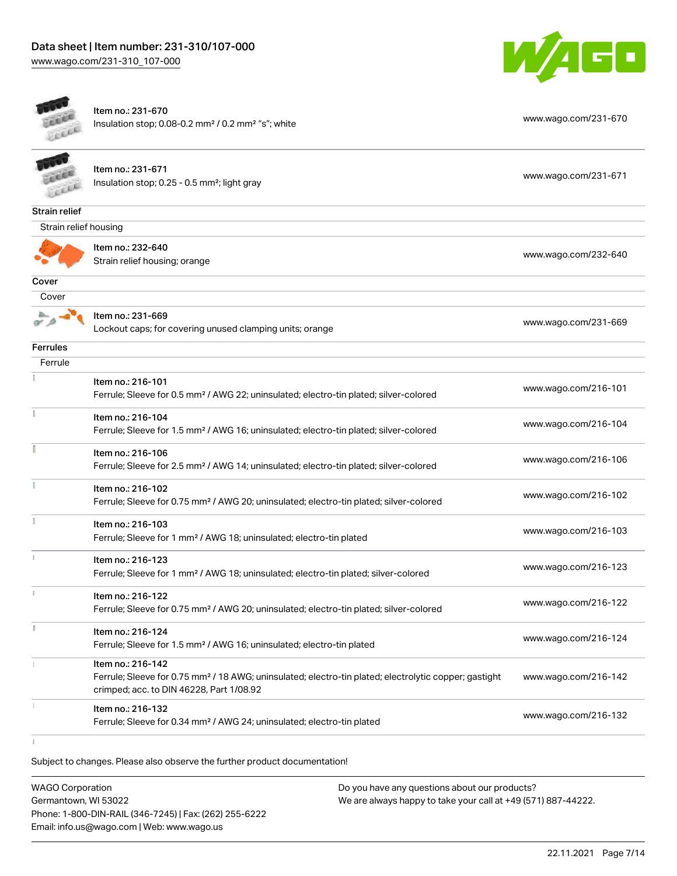# Data sheet | Item number: 231-310/107-000

[www.wago.com/231-310\\_107-000](http://www.wago.com/231-310_107-000)



|                       | Item no.: 216-132<br>Ferrule; Sleeve for 0.34 mm <sup>2</sup> / AWG 24; uninsulated; electro-tin plated                                                                            | www.wago.com/216-132 |
|-----------------------|------------------------------------------------------------------------------------------------------------------------------------------------------------------------------------|----------------------|
|                       | Item no.: 216-142<br>Ferrule; Sleeve for 0.75 mm <sup>2</sup> / 18 AWG; uninsulated; electro-tin plated; electrolytic copper; gastight<br>crimped; acc. to DIN 46228, Part 1/08.92 | www.wago.com/216-142 |
| I.                    | Item no.: 216-124<br>Ferrule; Sleeve for 1.5 mm <sup>2</sup> / AWG 16; uninsulated; electro-tin plated                                                                             | www.wago.com/216-124 |
|                       | Item no.: 216-122<br>Ferrule; Sleeve for 0.75 mm <sup>2</sup> / AWG 20; uninsulated; electro-tin plated; silver-colored                                                            | www.wago.com/216-122 |
|                       | Item no.: 216-123<br>Ferrule; Sleeve for 1 mm <sup>2</sup> / AWG 18; uninsulated; electro-tin plated; silver-colored                                                               | www.wago.com/216-123 |
|                       | Item no.: 216-103<br>Ferrule; Sleeve for 1 mm <sup>2</sup> / AWG 18; uninsulated; electro-tin plated                                                                               | www.wago.com/216-103 |
|                       | Item no.: 216-102<br>Ferrule; Sleeve for 0.75 mm <sup>2</sup> / AWG 20; uninsulated; electro-tin plated; silver-colored                                                            | www.wago.com/216-102 |
|                       | Item no.: 216-106<br>Ferrule; Sleeve for 2.5 mm <sup>2</sup> / AWG 14; uninsulated; electro-tin plated; silver-colored                                                             | www.wago.com/216-106 |
|                       | Item no.: 216-104<br>Ferrule; Sleeve for 1.5 mm <sup>2</sup> / AWG 16; uninsulated; electro-tin plated; silver-colored                                                             | www.wago.com/216-104 |
|                       | Item no.: 216-101<br>Ferrule; Sleeve for 0.5 mm <sup>2</sup> / AWG 22; uninsulated; electro-tin plated; silver-colored                                                             | www.wago.com/216-101 |
| Ferrule               |                                                                                                                                                                                    |                      |
| <b>Ferrules</b>       |                                                                                                                                                                                    |                      |
|                       | Item no.: 231-669<br>Lockout caps; for covering unused clamping units; orange                                                                                                      | www.wago.com/231-669 |
| Cover                 |                                                                                                                                                                                    |                      |
| Cover                 |                                                                                                                                                                                    |                      |
|                       | Item no.: 232-640<br>Strain relief housing; orange                                                                                                                                 | www.wago.com/232-640 |
| Strain relief housing |                                                                                                                                                                                    |                      |
| <b>Strain relief</b>  |                                                                                                                                                                                    |                      |
|                       | Item no.: 231-671<br>Insulation stop; 0.25 - 0.5 mm <sup>2</sup> ; light gray                                                                                                      | www.wago.com/231-671 |
|                       | Item no.: 231-670<br>Insulation stop; 0.08-0.2 mm <sup>2</sup> / 0.2 mm <sup>2</sup> "s"; white                                                                                    | www.wago.com/231-670 |

Subject to changes. Please also observe the further product documentation!

WAGO Corporation Germantown, WI 53022 Phone: 1-800-DIN-RAIL (346-7245) | Fax: (262) 255-6222 Email: info.us@wago.com | Web: www.wago.us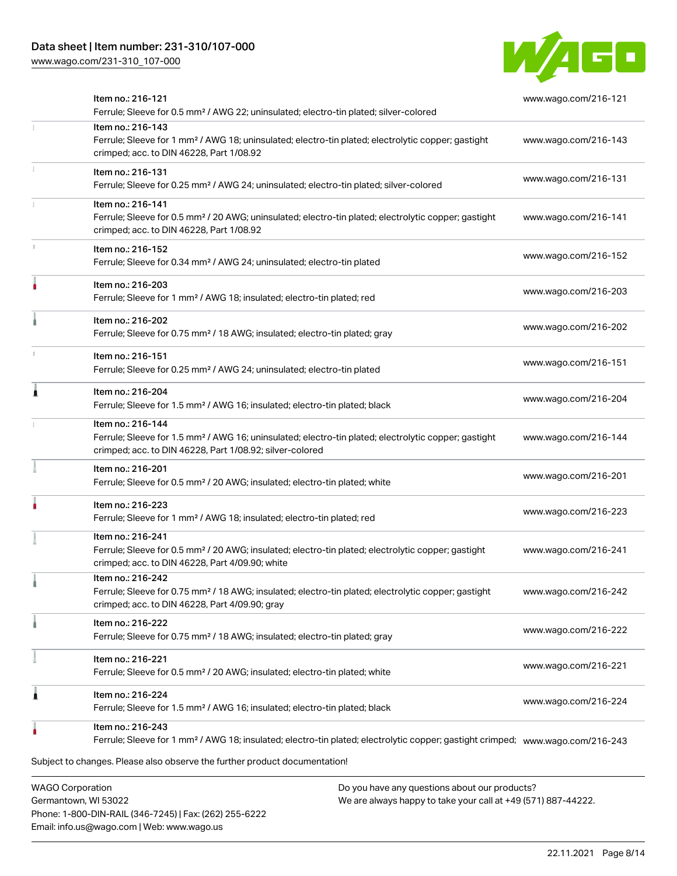# Data sheet | Item number: 231-310/107-000

[www.wago.com/231-310\\_107-000](http://www.wago.com/231-310_107-000)



| Item no.: 216-121<br>Ferrule; Sleeve for 0.5 mm <sup>2</sup> / AWG 22; uninsulated; electro-tin plated; silver-colored                                                                            | www.wago.com/216-121 |
|---------------------------------------------------------------------------------------------------------------------------------------------------------------------------------------------------|----------------------|
| Item no.: 216-143<br>Ferrule; Sleeve for 1 mm <sup>2</sup> / AWG 18; uninsulated; electro-tin plated; electrolytic copper; gastight<br>crimped; acc. to DIN 46228, Part 1/08.92                   | www.wago.com/216-143 |
| Item no.: 216-131<br>Ferrule; Sleeve for 0.25 mm <sup>2</sup> / AWG 24; uninsulated; electro-tin plated; silver-colored                                                                           | www.wago.com/216-131 |
| Item no.: 216-141<br>Ferrule; Sleeve for 0.5 mm <sup>2</sup> / 20 AWG; uninsulated; electro-tin plated; electrolytic copper; gastight<br>crimped; acc. to DIN 46228, Part 1/08.92                 | www.wago.com/216-141 |
| Item no.: 216-152<br>Ferrule; Sleeve for 0.34 mm <sup>2</sup> / AWG 24; uninsulated; electro-tin plated                                                                                           | www.wago.com/216-152 |
| Item no.: 216-203<br>Ferrule; Sleeve for 1 mm <sup>2</sup> / AWG 18; insulated; electro-tin plated; red                                                                                           | www.wago.com/216-203 |
| Item no.: 216-202<br>Ferrule; Sleeve for 0.75 mm <sup>2</sup> / 18 AWG; insulated; electro-tin plated; gray                                                                                       | www.wago.com/216-202 |
| Item no.: 216-151<br>Ferrule; Sleeve for 0.25 mm <sup>2</sup> / AWG 24; uninsulated; electro-tin plated                                                                                           | www.wago.com/216-151 |
| Item no.: 216-204<br>Ferrule; Sleeve for 1.5 mm <sup>2</sup> / AWG 16; insulated; electro-tin plated; black                                                                                       | www.wago.com/216-204 |
| Item no.: 216-144<br>Ferrule; Sleeve for 1.5 mm <sup>2</sup> / AWG 16; uninsulated; electro-tin plated; electrolytic copper; gastight<br>crimped; acc. to DIN 46228, Part 1/08.92; silver-colored | www.wago.com/216-144 |
| Item no.: 216-201<br>Ferrule; Sleeve for 0.5 mm <sup>2</sup> / 20 AWG; insulated; electro-tin plated; white                                                                                       | www.wago.com/216-201 |
| Item no.: 216-223<br>Ferrule; Sleeve for 1 mm <sup>2</sup> / AWG 18; insulated; electro-tin plated; red                                                                                           | www.wago.com/216-223 |
| Item no.: 216-241<br>Ferrule; Sleeve for 0.5 mm <sup>2</sup> / 20 AWG; insulated; electro-tin plated; electrolytic copper; gastight<br>crimped; acc. to DIN 46228, Part 4/09.90; white            | www.wago.com/216-241 |
| Item no.: 216-242<br>Ferrule; Sleeve for 0.75 mm <sup>2</sup> / 18 AWG; insulated; electro-tin plated; electrolytic copper; gastight<br>crimped; acc. to DIN 46228, Part 4/09.90; gray            | www.wago.com/216-242 |
| Item no.: 216-222<br>Ferrule; Sleeve for 0.75 mm <sup>2</sup> / 18 AWG; insulated; electro-tin plated; gray                                                                                       | www.wago.com/216-222 |
| Item no.: 216-221<br>Ferrule; Sleeve for 0.5 mm <sup>2</sup> / 20 AWG; insulated; electro-tin plated; white                                                                                       | www.wago.com/216-221 |
| Item no.: 216-224<br>Ferrule; Sleeve for 1.5 mm <sup>2</sup> / AWG 16; insulated; electro-tin plated; black                                                                                       | www.wago.com/216-224 |
| Item no.: 216-243<br>Ferrule; Sleeve for 1 mm <sup>2</sup> / AWG 18; insulated; electro-tin plated; electrolytic copper; gastight crimped; www.wago.com/216-243                                   |                      |
| Subject to changes. Please also observe the further product documentation!<br><b>WAGO Corporation</b><br>Do you have any questions about our products?                                            |                      |

Germantown, WI 53022 Phone: 1-800-DIN-RAIL (346-7245) | Fax: (262) 255-6222 Email: info.us@wago.com | Web: www.wago.us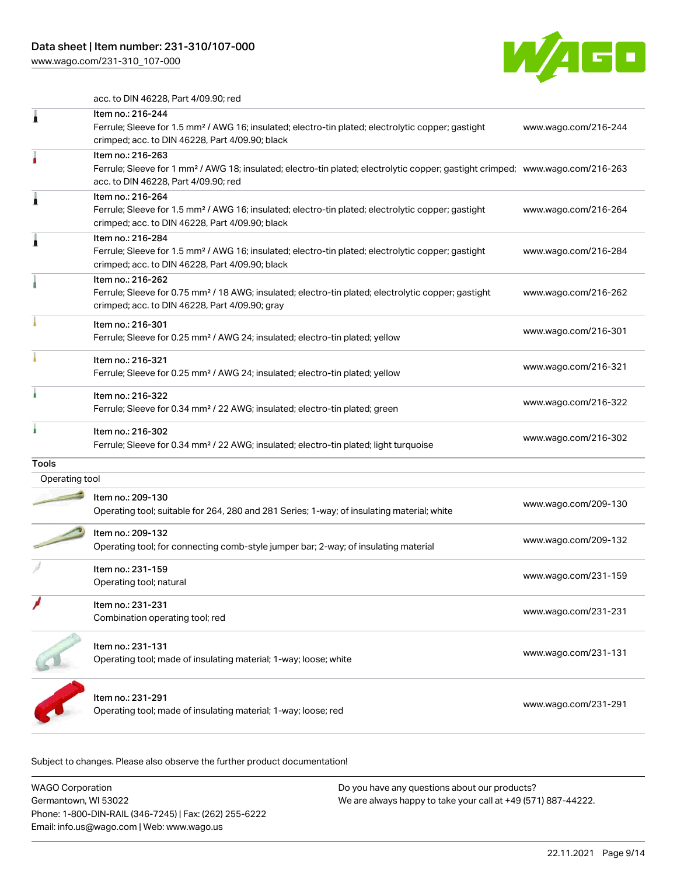[www.wago.com/231-310\\_107-000](http://www.wago.com/231-310_107-000)



acc. to DIN 46228, Part 4/09.90; red

| ı              | Item no.: 216-244<br>Ferrule; Sleeve for 1.5 mm <sup>2</sup> / AWG 16; insulated; electro-tin plated; electrolytic copper; gastight<br>crimped; acc. to DIN 46228, Part 4/09.90; black                  | www.wago.com/216-244 |
|----------------|---------------------------------------------------------------------------------------------------------------------------------------------------------------------------------------------------------|----------------------|
|                | Item no.: 216-263<br>Ferrule; Sleeve for 1 mm <sup>2</sup> / AWG 18; insulated; electro-tin plated; electrolytic copper; gastight crimped; www.wago.com/216-263<br>acc. to DIN 46228, Part 4/09.90; red |                      |
| j              | Item no.: 216-264<br>Ferrule; Sleeve for 1.5 mm <sup>2</sup> / AWG 16; insulated; electro-tin plated; electrolytic copper; gastight<br>crimped; acc. to DIN 46228, Part 4/09.90; black                  | www.wago.com/216-264 |
|                | Item no.: 216-284<br>Ferrule; Sleeve for 1.5 mm <sup>2</sup> / AWG 16; insulated; electro-tin plated; electrolytic copper; gastight<br>crimped; acc. to DIN 46228, Part 4/09.90; black                  | www.wago.com/216-284 |
|                | Item no.: 216-262<br>Ferrule; Sleeve for 0.75 mm <sup>2</sup> / 18 AWG; insulated; electro-tin plated; electrolytic copper; gastight<br>crimped; acc. to DIN 46228, Part 4/09.90; gray                  | www.wago.com/216-262 |
|                | Item no.: 216-301<br>Ferrule; Sleeve for 0.25 mm <sup>2</sup> / AWG 24; insulated; electro-tin plated; yellow                                                                                           | www.wago.com/216-301 |
|                | Item no.: 216-321<br>Ferrule; Sleeve for 0.25 mm <sup>2</sup> / AWG 24; insulated; electro-tin plated; yellow                                                                                           | www.wago.com/216-321 |
|                | Item no.: 216-322<br>Ferrule; Sleeve for 0.34 mm <sup>2</sup> / 22 AWG; insulated; electro-tin plated; green                                                                                            | www.wago.com/216-322 |
|                | Item no.: 216-302<br>Ferrule; Sleeve for 0.34 mm <sup>2</sup> / 22 AWG; insulated; electro-tin plated; light turquoise                                                                                  | www.wago.com/216-302 |
| Tools          |                                                                                                                                                                                                         |                      |
| Operating tool |                                                                                                                                                                                                         |                      |
|                | Item no.: 209-130<br>Operating tool; suitable for 264, 280 and 281 Series; 1-way; of insulating material; white                                                                                         | www.wago.com/209-130 |
|                | Item no.: 209-132<br>Operating tool; for connecting comb-style jumper bar; 2-way; of insulating material                                                                                                | www.wago.com/209-132 |
|                | Item no.: 231-159<br>Operating tool; natural                                                                                                                                                            | www.wago.com/231-159 |
|                | Item no.: 231-231<br>Combination operating tool; red                                                                                                                                                    | www.wago.com/231-231 |
|                | Item no.: 231-131<br>Operating tool; made of insulating material; 1-way; loose; white                                                                                                                   | www.wago.com/231-131 |
|                | Item no.: 231-291<br>Operating tool; made of insulating material; 1-way; loose; red                                                                                                                     | www.wago.com/231-291 |
|                |                                                                                                                                                                                                         |                      |

| WAGO Corporation                                       | Do you have any questions about our products?                 |
|--------------------------------------------------------|---------------------------------------------------------------|
| Germantown, WI 53022                                   | We are always happy to take your call at +49 (571) 887-44222. |
| Phone: 1-800-DIN-RAIL (346-7245)   Fax: (262) 255-6222 |                                                               |
| Email: info.us@wago.com   Web: www.wago.us             |                                                               |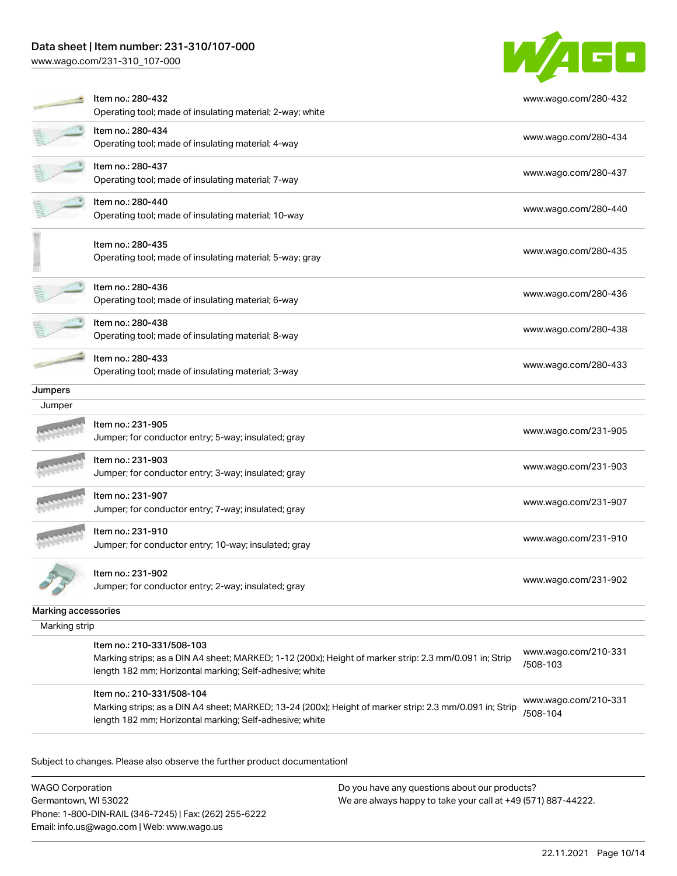# Data sheet | Item number: 231-310/107-000

[www.wago.com/231-310\\_107-000](http://www.wago.com/231-310_107-000)



|                     | Item no.: 280-432<br>Operating tool; made of insulating material; 2-way; white                                                                                                                 | www.wago.com/280-432             |
|---------------------|------------------------------------------------------------------------------------------------------------------------------------------------------------------------------------------------|----------------------------------|
|                     | Item no.: 280-434<br>Operating tool; made of insulating material; 4-way                                                                                                                        | www.wago.com/280-434             |
|                     | Item no.: 280-437<br>Operating tool; made of insulating material; 7-way                                                                                                                        | www.wago.com/280-437             |
|                     | Item no.: 280-440<br>Operating tool; made of insulating material; 10-way                                                                                                                       | www.wago.com/280-440             |
|                     | Item no.: 280-435<br>Operating tool; made of insulating material; 5-way; gray                                                                                                                  | www.wago.com/280-435             |
|                     | Item no.: 280-436<br>Operating tool; made of insulating material; 6-way                                                                                                                        | www.wago.com/280-436             |
|                     | Item no.: 280-438<br>Operating tool; made of insulating material; 8-way                                                                                                                        | www.wago.com/280-438             |
|                     | Item no.: 280-433<br>Operating tool; made of insulating material; 3-way                                                                                                                        | www.wago.com/280-433             |
| Jumpers             |                                                                                                                                                                                                |                                  |
| Jumper              |                                                                                                                                                                                                |                                  |
|                     | Item no.: 231-905<br>Jumper; for conductor entry; 5-way; insulated; gray                                                                                                                       | www.wago.com/231-905             |
|                     | Item no.: 231-903<br>Jumper; for conductor entry; 3-way; insulated; gray                                                                                                                       | www.wago.com/231-903             |
|                     | Item no.: 231-907<br>Jumper; for conductor entry; 7-way; insulated; gray                                                                                                                       | www.wago.com/231-907             |
|                     | Item no.: 231-910<br>Jumper; for conductor entry; 10-way; insulated; gray                                                                                                                      | www.wago.com/231-910             |
|                     | Item no.: 231-902<br>Jumper; for conductor entry; 2-way; insulated; gray                                                                                                                       | www.wago.com/231-902             |
| Marking accessories |                                                                                                                                                                                                |                                  |
| Marking strip       |                                                                                                                                                                                                |                                  |
|                     | Item no.: 210-331/508-103<br>Marking strips; as a DIN A4 sheet; MARKED; 1-12 (200x); Height of marker strip: 2.3 mm/0.091 in; Strip<br>length 182 mm; Horizontal marking; Self-adhesive; white | www.wago.com/210-331<br>/508-103 |

Item no.: 210-331/508-104

Marking strips; as a DIN A4 sheet; MARKED; 13-24 (200x); Height of marker strip: 2.3 mm/0.091 in; Strip length 182 mm; Horizontal marking; Self-adhesive; white [www.wago.com/210-331](http://www.wago.com/210-331/508-104) [/508-104](http://www.wago.com/210-331/508-104)

Subject to changes. Please also observe the further product documentation!

WAGO Corporation Germantown, WI 53022 Phone: 1-800-DIN-RAIL (346-7245) | Fax: (262) 255-6222 Email: info.us@wago.com | Web: www.wago.us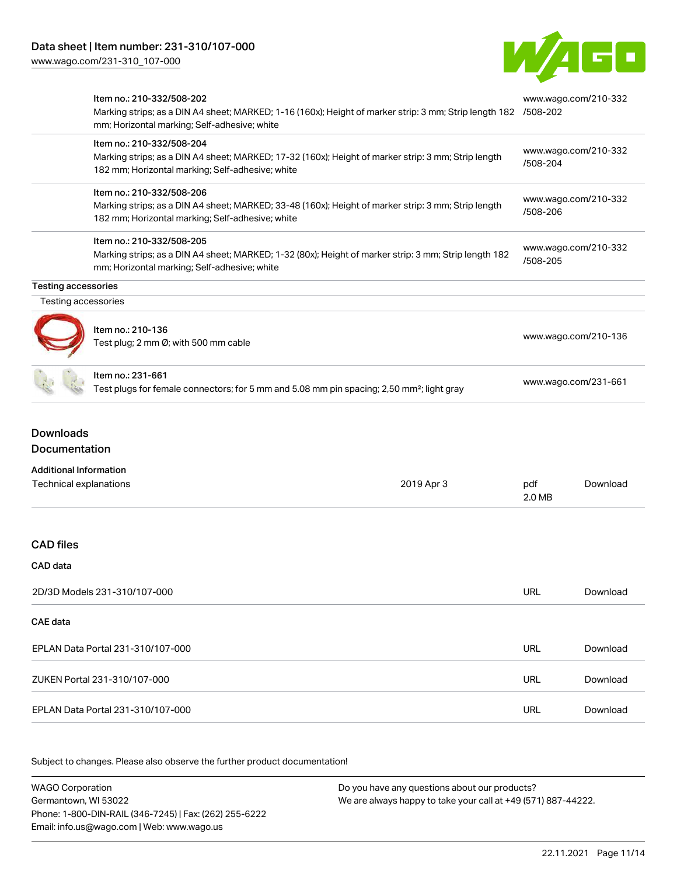[www.wago.com/231-310\\_107-000](http://www.wago.com/231-310_107-000)



|                                                         | Item no.: 210-332/508-202<br>Marking strips; as a DIN A4 sheet; MARKED; 1-16 (160x); Height of marker strip: 3 mm; Strip length 182 /508-202<br>mm; Horizontal marking; Self-adhesive; white |               | www.wago.com/210-332                                                                         |  |
|---------------------------------------------------------|----------------------------------------------------------------------------------------------------------------------------------------------------------------------------------------------|---------------|----------------------------------------------------------------------------------------------|--|
|                                                         | Item no.: 210-332/508-204<br>Marking strips; as a DIN A4 sheet; MARKED; 17-32 (160x); Height of marker strip: 3 mm; Strip length<br>182 mm; Horizontal marking; Self-adhesive; white         | /508-204      | www.wago.com/210-332<br>www.wago.com/210-332<br>/508-206<br>www.wago.com/210-332<br>/508-205 |  |
|                                                         | Item no.: 210-332/508-206<br>Marking strips; as a DIN A4 sheet; MARKED; 33-48 (160x); Height of marker strip: 3 mm; Strip length<br>182 mm; Horizontal marking; Self-adhesive; white         |               |                                                                                              |  |
|                                                         | Item no.: 210-332/508-205<br>Marking strips; as a DIN A4 sheet; MARKED; 1-32 (80x); Height of marker strip: 3 mm; Strip length 182<br>mm; Horizontal marking; Self-adhesive; white           |               |                                                                                              |  |
| <b>Testing accessories</b>                              |                                                                                                                                                                                              |               |                                                                                              |  |
| Testing accessories                                     |                                                                                                                                                                                              |               |                                                                                              |  |
|                                                         | Item no.: 210-136<br>Test plug; 2 mm Ø; with 500 mm cable                                                                                                                                    |               | www.wago.com/210-136                                                                         |  |
|                                                         | ltem no.: 231-661<br>Test plugs for female connectors; for 5 mm and 5.08 mm pin spacing; 2,50 mm <sup>2</sup> ; light gray                                                                   |               | www.wago.com/231-661                                                                         |  |
| <b>Downloads</b><br>Documentation                       |                                                                                                                                                                                              |               |                                                                                              |  |
| <b>Additional Information</b><br>Technical explanations | 2019 Apr 3                                                                                                                                                                                   | pdf<br>2.0 MB | Download                                                                                     |  |
| <b>CAD files</b>                                        |                                                                                                                                                                                              |               |                                                                                              |  |
| CAD data                                                |                                                                                                                                                                                              |               |                                                                                              |  |
| 2D/3D Models 231-310/107-000                            |                                                                                                                                                                                              | <b>URL</b>    | Download                                                                                     |  |
| <b>CAE</b> data                                         |                                                                                                                                                                                              |               |                                                                                              |  |
| EPLAN Data Portal 231-310/107-000                       |                                                                                                                                                                                              | URL           | Download                                                                                     |  |
| ZUKEN Portal 231-310/107-000                            |                                                                                                                                                                                              | URL           | Download                                                                                     |  |
| EPLAN Data Portal 231-310/107-000                       |                                                                                                                                                                                              | URL           | Download                                                                                     |  |

Subject to changes. Please also observe the further product documentation!

WAGO Corporation Germantown, WI 53022 Phone: 1-800-DIN-RAIL (346-7245) | Fax: (262) 255-6222 Email: info.us@wago.com | Web: www.wago.us Do you have any questions about our products? We are always happy to take your call at +49 (571) 887-44222.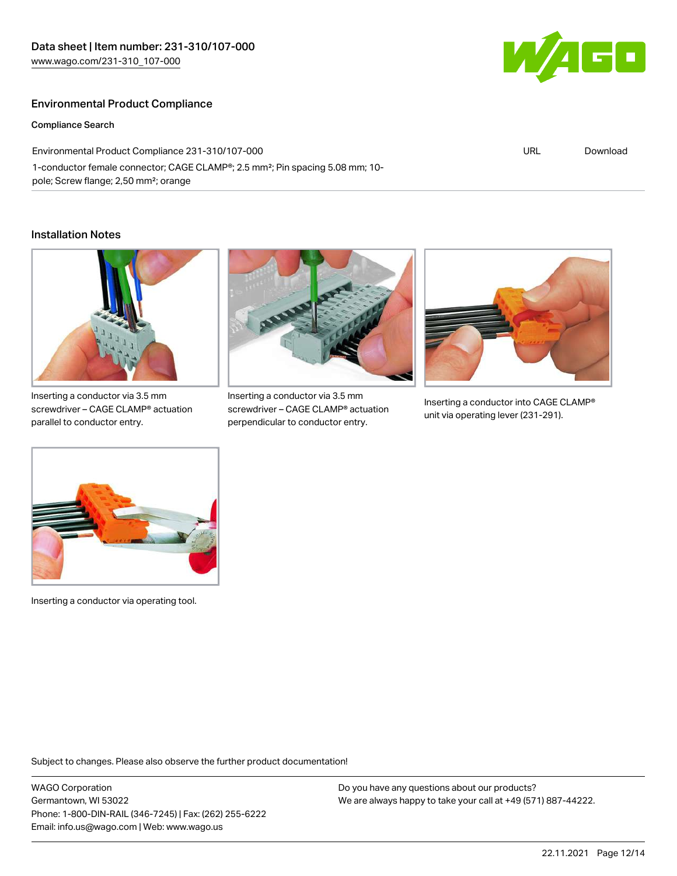# Environmental Product Compliance

#### Compliance Search

Environmental Product Compliance 231-310/107-000 1-conductor female connector; CAGE CLAMP®; 2.5 mm²; Pin spacing 5.08 mm; 10 pole; Screw flange; 2,50 mm²; orange

#### Installation Notes



Inserting a conductor via 3.5 mm screwdriver – CAGE CLAMP® actuation parallel to conductor entry.



Inserting a conductor via 3.5 mm screwdriver – CAGE CLAMP® actuation perpendicular to conductor entry.



Inserting a conductor into CAGE CLAMP® unit via operating lever (231-291).



Inserting a conductor via operating tool.

Subject to changes. Please also observe the further product documentation!

WAGO Corporation Germantown, WI 53022 Phone: 1-800-DIN-RAIL (346-7245) | Fax: (262) 255-6222 Email: info.us@wago.com | Web: www.wago.us

Do you have any questions about our products? We are always happy to take your call at +49 (571) 887-44222.



URL [Download](https://www.wago.com/global/d/ComplianceLinkMediaContainer_231-310_107-000)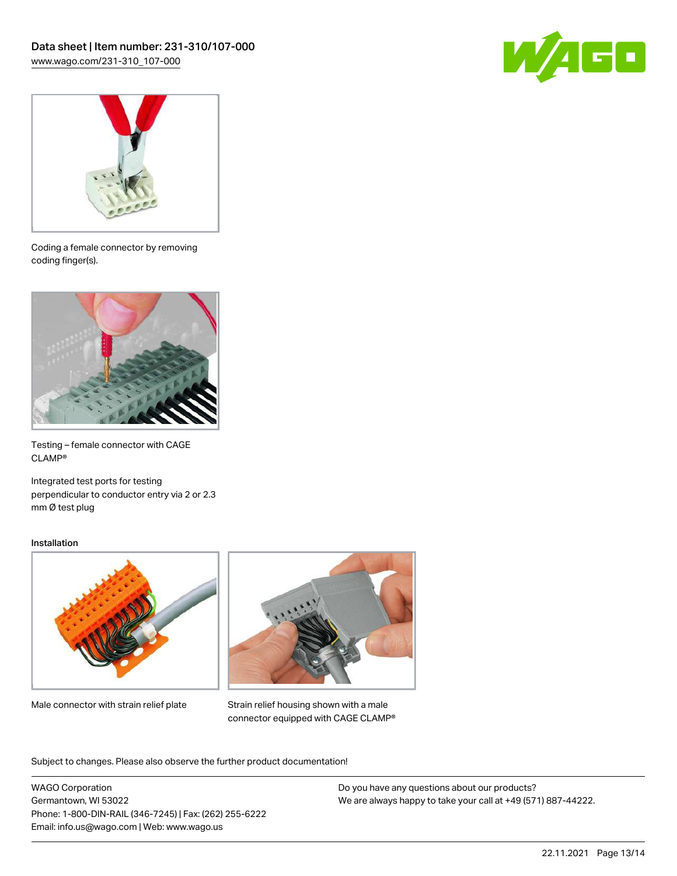



Coding a female connector by removing coding finger(s).



Testing – female connector with CAGE CLAMP®

Integrated test ports for testing perpendicular to conductor entry via 2 or 2.3 mm Ø test plug

#### Installation



Male connector with strain relief plate



Strain relief housing shown with a male connector equipped with CAGE CLAMP®

Subject to changes. Please also observe the further product documentation!

WAGO Corporation Germantown, WI 53022 Phone: 1-800-DIN-RAIL (346-7245) | Fax: (262) 255-6222 Email: info.us@wago.com | Web: www.wago.us